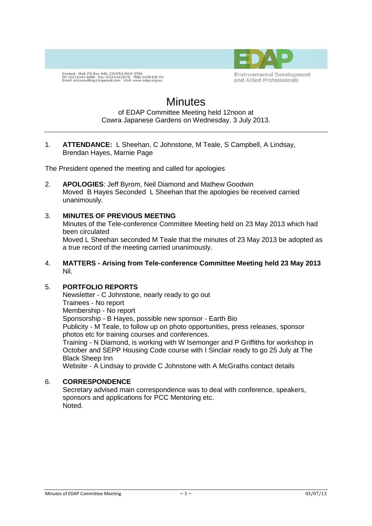

Contact Mail: PO Box 440, COWRA NSW 2794<br>Ph: (02) 6342 9289 Fax: (02) 63429319 Mob: 0419 619 761<br>Email: arlconsulting@bigpond.com Visit: www.edap.org.au

# **Minutes**

#### of EDAP Committee Meeting held 12noon at Cowra Japanese Gardens on Wednesday, 3 July 2013.

1. **ATTENDANCE:** L Sheehan, C Johnstone, M Teale, S Campbell, A Lindsay, Brendan Hayes, Marnie Page

The President opened the meeting and called for apologies

2. **APOLOGIES**: Jeff Byrom, Neil Diamond and Mathew Goodwin Moved B Hayes Seconded L Sheehan that the apologies be received carried unanimously.

## 3. **MINUTES OF PREVIOUS MEETING**

Minutes of the Tele-conference Committee Meeting held on 23 May 2013 which had been circulated

Moved L Sheehan seconded M Teale that the minutes of 23 May 2013 be adopted as a true record of the meeting carried unanimously.

4. **MATTERS - Arising from Tele-conference Committee Meeting held 23 May 2013** Nil.

#### 5. **PORTFOLIO REPORTS**

Newsletter - C Johnstone, nearly ready to go out Trainees - No report Membership - No report Sponsorship - B Hayes, possible new sponsor - Earth Bio Publicity - M Teale, to follow up on photo opportunities, press releases, sponsor

photos etc for training courses and conferences. Training - N Diamond, is working with W Isemonger and P Griffiths for workshop in October and SEPP Housing Code course with I Sinclair ready to go 25 July at The Black Sheep Inn

Website - A Lindsay to provide C Johnstone with A McGraths contact details

## 6. **CORRESPONDENCE**

Secretary advised main correspondence was to deal with conference, speakers, sponsors and applications for PCC Mentoring etc. Noted.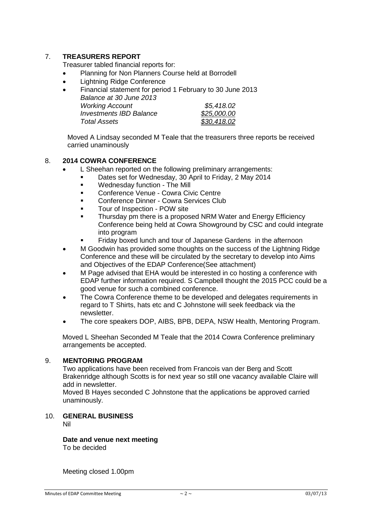# 7. **TREASURERS REPORT**

Treasurer tabled financial reports for:

- Planning for Non Planners Course held at Borrodell
- Lightning Ridge Conference
- Financial statement for period 1 February to 30 June 2013 *Balance at 30 June 2013 Working Account \$5,418.02 Investments IBD Balance \$25,000.00 Total Assets \$30,418.02*

Moved A Lindsay seconded M Teale that the treasurers three reports be received carried unaminously

#### 8. **2014 COWRA CONFERENCE**

- L Sheehan reported on the following preliminary arrangements:
	- Dates set for Wednesday, 30 April to Friday, 2 May 2014
	- **Wednesday function The Mill**
	- Conference Venue Cowra Civic Centre
	- Conference Dinner Cowra Services Club
	- Tour of Inspection POW site
	- Thursday pm there is a proposed NRM Water and Energy Efficiency Conference being held at Cowra Showground by CSC and could integrate into program
		- Friday boxed lunch and tour of Japanese Gardens in the afternoon
- M Goodwin has provided some thoughts on the success of the Lightning Ridge Conference and these will be circulated by the secretary to develop into Aims and Objectives of the EDAP Conference(See attachment)
- M Page advised that EHA would be interested in co hosting a conference with EDAP further information required. S Campbell thought the 2015 PCC could be a good venue for such a combined conference.
- The Cowra Conference theme to be developed and delegates requirements in regard to T Shirts, hats etc and C Johnstone will seek feedback via the newsletter.
- The core speakers DOP, AIBS, BPB, DEPA, NSW Health, Mentoring Program.

Moved L Sheehan Seconded M Teale that the 2014 Cowra Conference preliminary arrangements be accepted.

#### 9. **MENTORING PROGRAM**

Two applications have been received from Francois van der Berg and Scott Brakenridge although Scotts is for next year so still one vacancy available Claire will add in newsletter.

Moved B Hayes seconded C Johnstone that the applications be approved carried unaminously.

## 10. **GENERAL BUSINESS**

Nil

# **Date and venue next meeting**

To be decided

Meeting closed 1.00pm